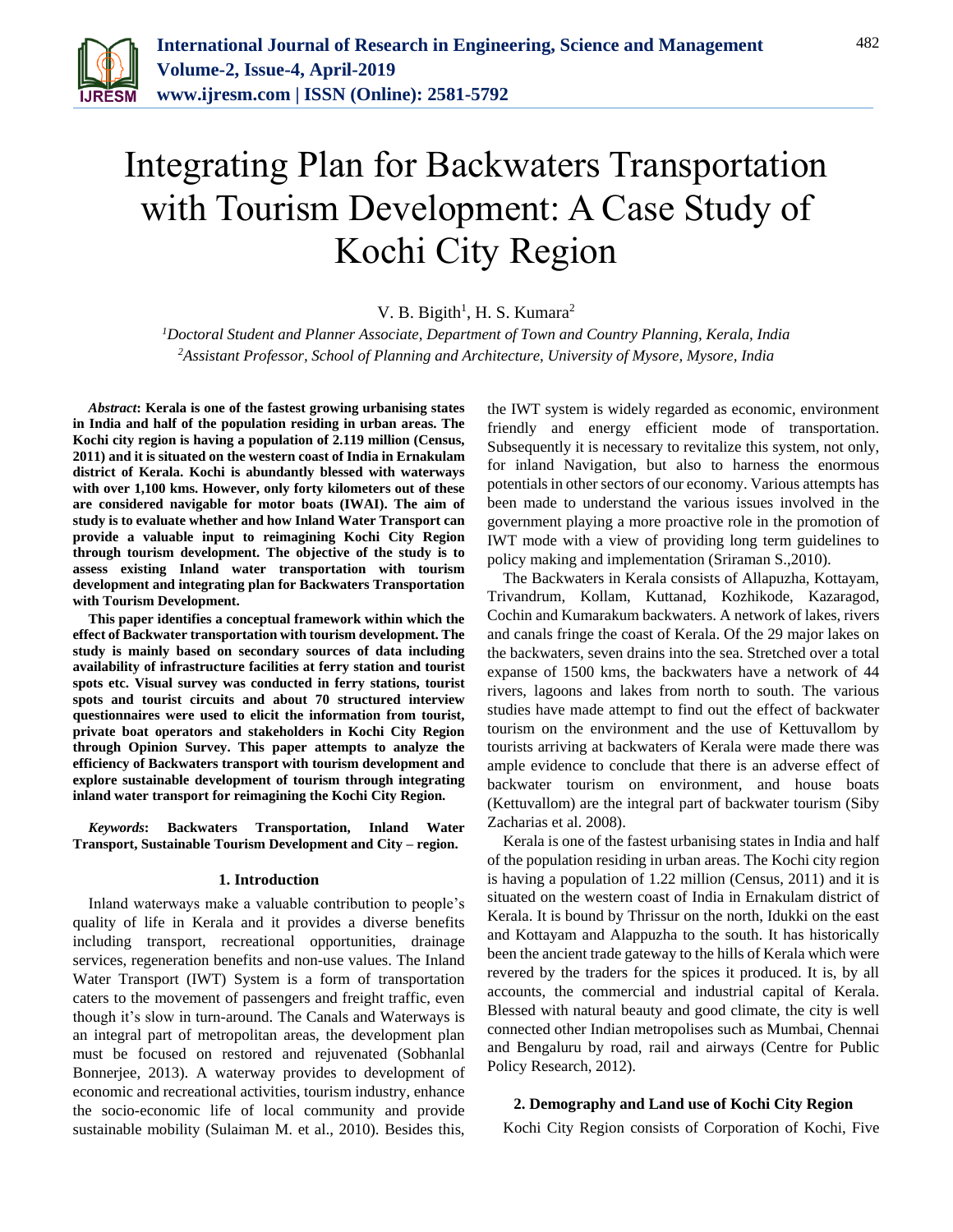

# Integrating Plan for Backwaters Transportation with Tourism Development: A Case Study of Kochi City Region

### V. B. Bigith<sup>1</sup>, H. S. Kumara<sup>2</sup>

*<sup>1</sup>Doctoral Student and Planner Associate, Department of Town and Country Planning, Kerala, India 2Assistant Professor, School of Planning and Architecture, University of Mysore, Mysore, India*

*Abstract***: Kerala is one of the fastest growing urbanising states in India and half of the population residing in urban areas. The Kochi city region is having a population of 2.119 million (Census, 2011) and it is situated on the western coast of India in Ernakulam district of Kerala. Kochi is abundantly blessed with waterways with over 1,100 kms. However, only forty kilometers out of these are considered navigable for motor boats (IWAI). The aim of study is to evaluate whether and how Inland Water Transport can provide a valuable input to reimagining Kochi City Region through tourism development. The objective of the study is to assess existing Inland water transportation with tourism development and integrating plan for Backwaters Transportation with Tourism Development.** 

**This paper identifies a conceptual framework within which the effect of Backwater transportation with tourism development. The study is mainly based on secondary sources of data including availability of infrastructure facilities at ferry station and tourist spots etc. Visual survey was conducted in ferry stations, tourist spots and tourist circuits and about 70 structured interview questionnaires were used to elicit the information from tourist, private boat operators and stakeholders in Kochi City Region through Opinion Survey. This paper attempts to analyze the efficiency of Backwaters transport with tourism development and explore sustainable development of tourism through integrating inland water transport for reimagining the Kochi City Region.**

*Keywords***: Backwaters Transportation, Inland Water Transport, Sustainable Tourism Development and City – region.**

#### **1. Introduction**

Inland waterways make a valuable contribution to people's quality of life in Kerala and it provides a diverse benefits including transport, recreational opportunities, drainage services, regeneration benefits and non-use values. The Inland Water Transport (IWT) System is a form of transportation caters to the movement of passengers and freight traffic, even though it's slow in turn-around. The Canals and Waterways is an integral part of metropolitan areas, the development plan must be focused on restored and rejuvenated (Sobhanlal Bonnerjee, 2013). A waterway provides to development of economic and recreational activities, tourism industry, enhance the socio-economic life of local community and provide sustainable mobility (Sulaiman M. et al., 2010). Besides this,

the IWT system is widely regarded as economic, environment friendly and energy efficient mode of transportation. Subsequently it is necessary to revitalize this system, not only, for inland Navigation, but also to harness the enormous potentials in other sectors of our economy. Various attempts has been made to understand the various issues involved in the government playing a more proactive role in the promotion of IWT mode with a view of providing long term guidelines to policy making and implementation (Sriraman S.,2010).

The Backwaters in Kerala consists of Allapuzha, Kottayam, Trivandrum, Kollam, Kuttanad, Kozhikode, Kazaragod, Cochin and Kumarakum backwaters. A network of lakes, rivers and canals fringe the coast of Kerala. Of the 29 major lakes on the backwaters, seven drains into the sea. Stretched over a total expanse of 1500 kms, the backwaters have a network of 44 rivers, lagoons and lakes from north to south. The various studies have made attempt to find out the effect of backwater tourism on the environment and the use of Kettuvallom by tourists arriving at backwaters of Kerala were made there was ample evidence to conclude that there is an adverse effect of backwater tourism on environment, and house boats (Kettuvallom) are the integral part of backwater tourism (Siby Zacharias et al. 2008).

Kerala is one of the fastest urbanising states in India and half of the population residing in urban areas. The Kochi city region is having a population of 1.22 million (Census, 2011) and it is situated on the western coast of India in Ernakulam district of Kerala. It is bound by Thrissur on the north, Idukki on the east and Kottayam and Alappuzha to the south. It has historically been the ancient trade gateway to the hills of Kerala which were revered by the traders for the spices it produced. It is, by all accounts, the commercial and industrial capital of Kerala. Blessed with natural beauty and good climate, the city is well connected other Indian metropolises such as Mumbai, Chennai and Bengaluru by road, rail and airways (Centre for Public Policy Research, 2012).

#### **2. Demography and Land use of Kochi City Region**

Kochi City Region consists of Corporation of Kochi, Five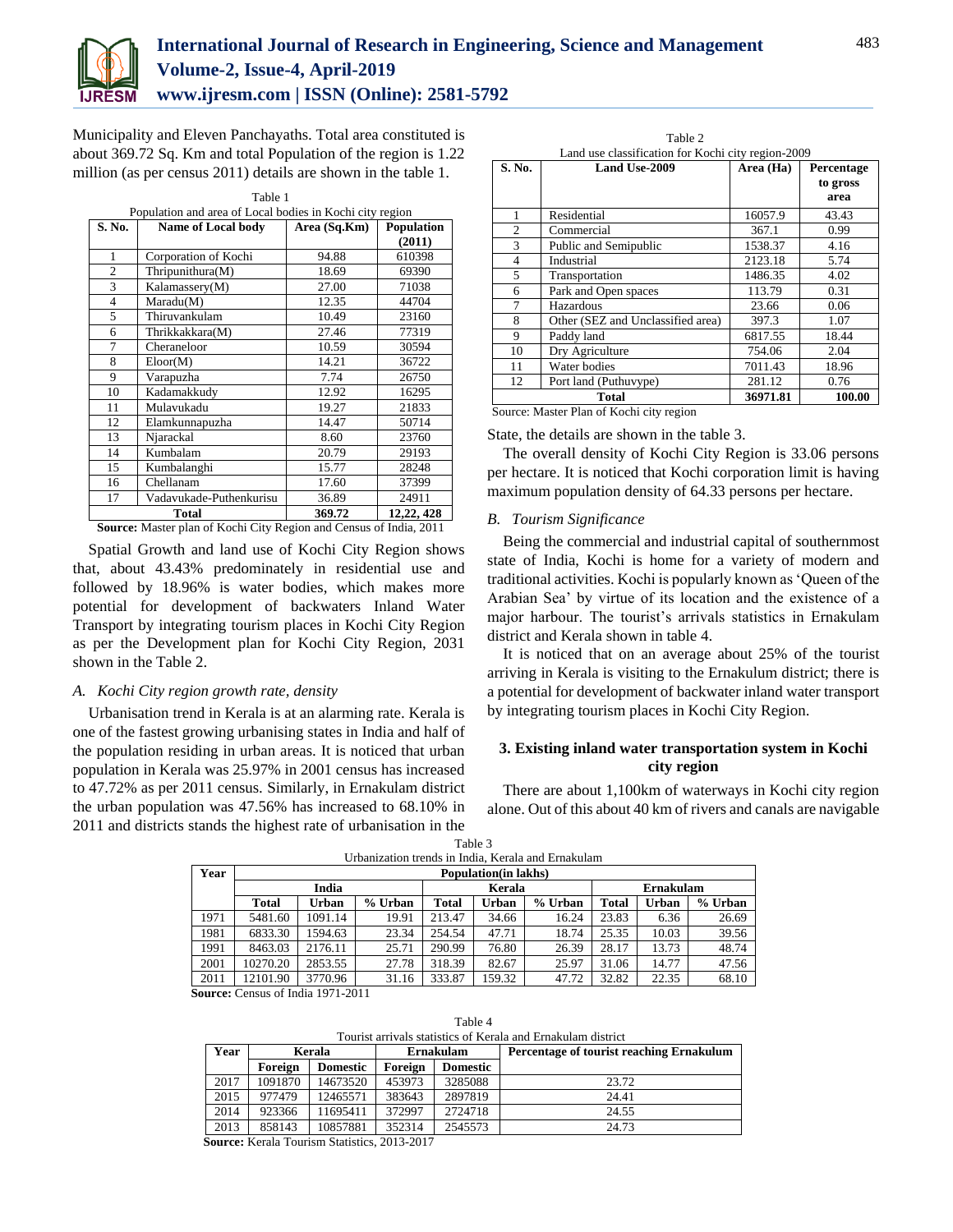

## **International Journal of Research in Engineering, Science and Management Volume-2, Issue-4, April-2019**

**www.ijresm.com | ISSN (Online): 2581-5792** 

Municipality and Eleven Panchayaths. Total area constituted is about 369.72 Sq. Km and total Population of the region is 1.22 million (as per census 2011) details are shown in the table 1.

Table 1

| Population and area of Local bodies in Kochi city region |                           |              |                   |  |  |  |
|----------------------------------------------------------|---------------------------|--------------|-------------------|--|--|--|
| S. No.                                                   | <b>Name of Local body</b> | Area (Sq.Km) | <b>Population</b> |  |  |  |
|                                                          |                           |              | (2011)            |  |  |  |
| 1                                                        | Corporation of Kochi      | 94.88        | 610398            |  |  |  |
| 2                                                        | Thripunithura(M)          | 18.69        | 69390             |  |  |  |
| 3                                                        | Kalamassery(M)            | 27.00        | 71038             |  |  |  |
| $\overline{4}$                                           | Maradu(M)                 | 12.35        | 44704             |  |  |  |
| 5                                                        | Thiruvankulam             | 10.49        | 23160             |  |  |  |
| 6                                                        | Thrikkakkara(M)           | 27.46        | 77319             |  |  |  |
| 7                                                        | Cheraneloor               | 10.59        | 30594             |  |  |  |
| 8                                                        | Eloor(M)                  | 14.21        | 36722             |  |  |  |
| 9                                                        | Varapuzha                 | 7.74         | 26750             |  |  |  |
| 10                                                       | Kadamakkudv               | 12.92        | 16295             |  |  |  |
| 11                                                       | Mulavukadu                | 19.27        | 21833             |  |  |  |
| 12                                                       | Elamkunnapuzha            | 14.47        | 50714             |  |  |  |
| 13                                                       | Njarackal                 | 8.60         | 23760             |  |  |  |
| 14                                                       | Kumbalam                  | 20.79        | 29193             |  |  |  |
| 15                                                       | Kumbalanghi               | 15.77        | 28248             |  |  |  |
| 16                                                       | Chellanam                 | 17.60        | 37399             |  |  |  |
| 17                                                       | Vadavukade-Puthenkurisu   | 36.89        | 24911             |  |  |  |
|                                                          | Total                     | 369.72       | 12,22, 428        |  |  |  |

**Source:** Master plan of Kochi City Region and Census of India, 2011

Spatial Growth and land use of Kochi City Region shows that, about 43.43% predominately in residential use and followed by 18.96% is water bodies, which makes more potential for development of backwaters Inland Water Transport by integrating tourism places in Kochi City Region as per the Development plan for Kochi City Region, 2031 shown in the Table 2.

#### *A. Kochi City region growth rate, density*

Urbanisation trend in Kerala is at an alarming rate. Kerala is one of the fastest growing urbanising states in India and half of the population residing in urban areas. It is noticed that urban population in Kerala was 25.97% in 2001 census has increased to 47.72% as per 2011 census. Similarly, in Ernakulam district the urban population was 47.56% has increased to 68.10% in 2011 and districts stands the highest rate of urbanisation in the

| Table 2<br>Land use classification for Kochi city region-2009 |                                   |           |                                |  |  |  |  |
|---------------------------------------------------------------|-----------------------------------|-----------|--------------------------------|--|--|--|--|
| S. No.                                                        | <b>Land Use-2009</b>              | Area (Ha) | Percentage<br>to gross<br>area |  |  |  |  |
| 1                                                             | Residential                       | 16057.9   | 43.43                          |  |  |  |  |
| $\overline{c}$                                                | Commercial                        | 367.1     | 0.99                           |  |  |  |  |
| 3                                                             | Public and Semipublic             | 1538.37   | 4.16                           |  |  |  |  |
| $\overline{4}$                                                | Industrial                        | 2123.18   | 5.74                           |  |  |  |  |
| 5                                                             | Transportation                    | 1486.35   | 4.02                           |  |  |  |  |
| 6                                                             | Park and Open spaces              | 113.79    | 0.31                           |  |  |  |  |
| 7                                                             | Hazardous                         | 23.66     | 0.06                           |  |  |  |  |
| 8                                                             | Other (SEZ and Unclassified area) | 397.3     | 1.07                           |  |  |  |  |
| 9                                                             | Paddy land                        | 6817.55   | 18.44                          |  |  |  |  |
| 10                                                            | Dry Agriculture                   | 754.06    | 2.04                           |  |  |  |  |
| 11                                                            | Water bodies                      | 7011.43   | 18.96                          |  |  |  |  |
| 12                                                            | Port land (Puthuvype)             | 281.12    | 0.76                           |  |  |  |  |
| 36971.81<br>100.00<br><b>Total</b>                            |                                   |           |                                |  |  |  |  |

State, the details are shown in the table 3.

The overall density of Kochi City Region is 33.06 persons per hectare. It is noticed that Kochi corporation limit is having maximum population density of 64.33 persons per hectare.

#### *B. Tourism Significance*

Being the commercial and industrial capital of southernmost state of India, Kochi is home for a variety of modern and traditional activities. Kochi is popularly known as 'Queen of the Arabian Sea' by virtue of its location and the existence of a major harbour. The tourist's arrivals statistics in Ernakulam district and Kerala shown in table 4.

It is noticed that on an average about 25% of the tourist arriving in Kerala is visiting to the Ernakulum district; there is a potential for development of backwater inland water transport by integrating tourism places in Kochi City Region.

#### **3. Existing inland water transportation system in Kochi city region**

There are about 1,100km of waterways in Kochi city region alone. Out of this about 40 km of rivers and canals are navigable

| Urbanization trends in India, Kerala and Ernakulam |                                                                                               |                              |       |        |        |       |         |       |       |
|----------------------------------------------------|-----------------------------------------------------------------------------------------------|------------------------------|-------|--------|--------|-------|---------|-------|-------|
| Year                                               |                                                                                               | <b>Population</b> (in lakhs) |       |        |        |       |         |       |       |
|                                                    |                                                                                               | India<br>Kerala<br>Ernakulam |       |        |        |       |         |       |       |
|                                                    | % Urban<br><b>Total</b><br>Urban<br>% Urban<br><b>Total</b><br>Urban<br><b>Total</b><br>Urban |                              |       |        |        |       | % Urban |       |       |
| 1971                                               | 5481.60                                                                                       | 1091.14                      | 19.91 | 213.47 | 34.66  | 16.24 | 23.83   | 6.36  | 26.69 |
| 1981                                               | 6833.30                                                                                       | 1594.63                      | 23.34 | 254.54 | 47.71  | 18.74 | 25.35   | 10.03 | 39.56 |
| 1991                                               | 8463.03                                                                                       | 2176.11                      | 25.71 | 290.99 | 76.80  | 26.39 | 28.17   | 13.73 | 48.74 |
| 2001                                               | 10270.20                                                                                      | 2853.55                      | 27.78 | 318.39 | 82.67  | 25.97 | 31.06   | 14.77 | 47.56 |
| 2011                                               | 12101.90                                                                                      | 3770.96                      | 31.16 | 333.87 | 159.32 | 47.72 | 32.82   | 22.35 | 68.10 |

Table 3

 **Source:** Census of India 1971-2011

Table 4

| Tourist arrivals statistics of Kerala and Ernakulam district |                            |          |           |                 |                                          |  |  |  |
|--------------------------------------------------------------|----------------------------|----------|-----------|-----------------|------------------------------------------|--|--|--|
| Year                                                         | Kerala                     |          | Ernakulam |                 | Percentage of tourist reaching Ernakulum |  |  |  |
|                                                              | <b>Domestic</b><br>Foreign |          | Foreign   | <b>Domestic</b> |                                          |  |  |  |
| 2017                                                         | 1091870                    | 14673520 | 453973    | 3285088         | 23.72                                    |  |  |  |
| 2015                                                         | 977479                     | 12465571 | 383643    | 2897819         | 24.41                                    |  |  |  |
| 2014                                                         | 923366                     | 11695411 | 372997    | 2724718         | 24.55                                    |  |  |  |
| 2013                                                         | 858143                     | 10857881 | 352314    | 2545573         | 24.73                                    |  |  |  |

 **Source:** Kerala Tourism Statistics, 2013-2017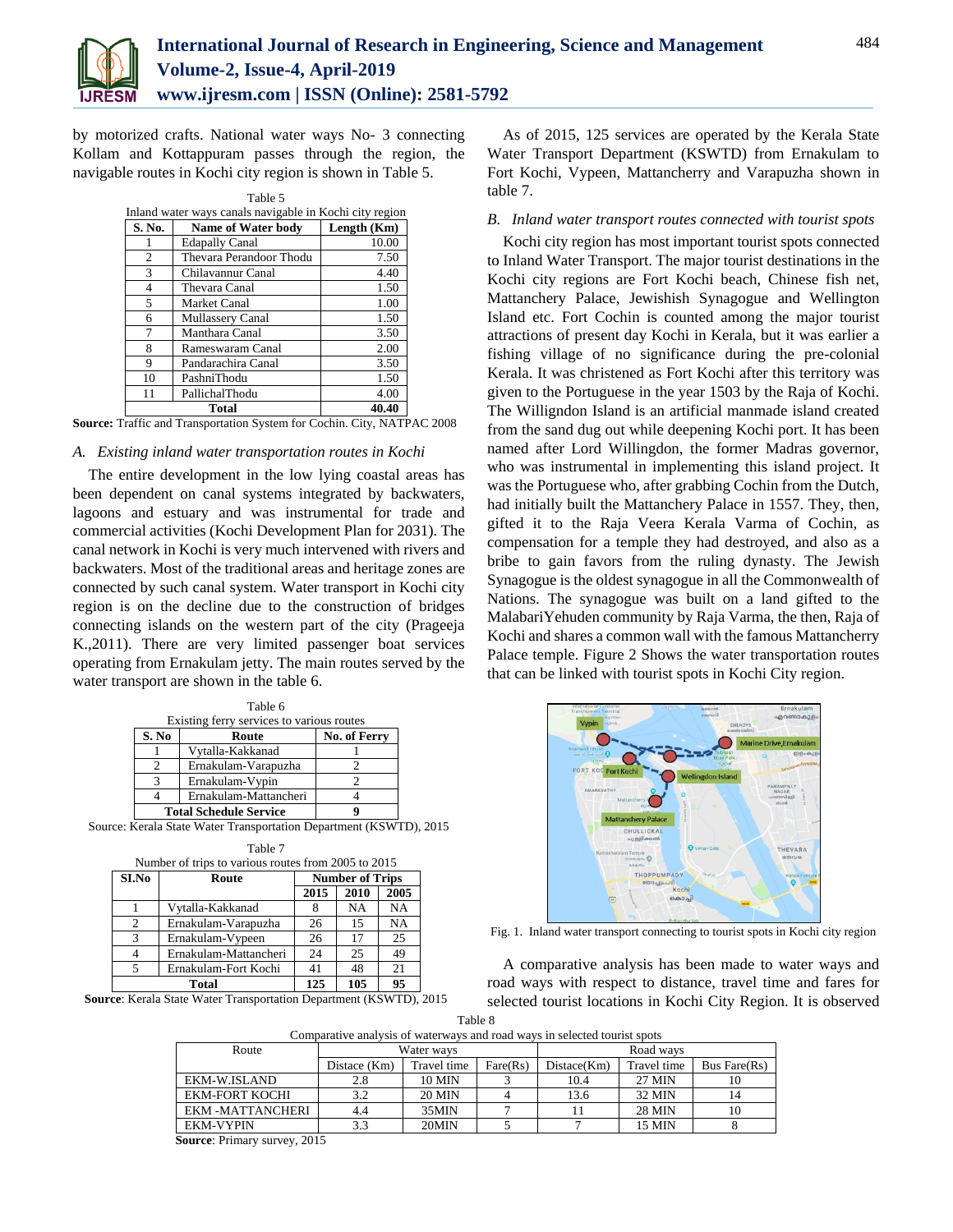

by motorized crafts. National water ways No- 3 connecting Kollam and Kottappuram passes through the region, the navigable routes in Kochi city region is shown in Table 5.

|                                                         | Table 5                   |             |  |  |  |  |  |
|---------------------------------------------------------|---------------------------|-------------|--|--|--|--|--|
| Inland water ways canals navigable in Kochi city region |                           |             |  |  |  |  |  |
| S. No.                                                  | <b>Name of Water body</b> | Length (Km) |  |  |  |  |  |
|                                                         | <b>Edapally Canal</b>     | 10.00       |  |  |  |  |  |
| $\mathcal{D}_{\mathcal{L}}$                             | Thevara Perandoor Thodu   | 7.50        |  |  |  |  |  |
| 3                                                       | Chilavannur Canal         | 4.40        |  |  |  |  |  |
| 4                                                       | Thevara Canal             | 1.50        |  |  |  |  |  |
| 5                                                       | Market Canal              | 1.00        |  |  |  |  |  |
| 6                                                       | Mullassery Canal          | 1.50        |  |  |  |  |  |
|                                                         | Manthara Canal            | 3.50        |  |  |  |  |  |
| 8                                                       | Rameswaram Canal          | 2.00        |  |  |  |  |  |
| 9                                                       | Pandarachira Canal        | 3.50        |  |  |  |  |  |
| 10                                                      | PashniThodu               | 1.50        |  |  |  |  |  |
| 11                                                      | PallichalThodu            | 4.00        |  |  |  |  |  |
|                                                         | Total<br>40.40            |             |  |  |  |  |  |

**Source:** Traffic and Transportation System for Cochin. City, NATPAC 2008

#### *A. Existing inland water transportation routes in Kochi*

The entire development in the low lying coastal areas has been dependent on canal systems integrated by backwaters, lagoons and estuary and was instrumental for trade and commercial activities (Kochi Development Plan for 2031). The canal network in Kochi is very much intervened with rivers and backwaters. Most of the traditional areas and heritage zones are connected by such canal system. Water transport in Kochi city region is on the decline due to the construction of bridges connecting islands on the western part of the city (Prageeja K.,2011). There are very limited passenger boat services operating from Ernakulam jetty. The main routes served by the water transport are shown in the table 6.

| Table 6                                   |                               |              |  |  |  |  |  |
|-------------------------------------------|-------------------------------|--------------|--|--|--|--|--|
| Existing ferry services to various routes |                               |              |  |  |  |  |  |
| S. No                                     | Route                         | No. of Ferry |  |  |  |  |  |
|                                           | Vytalla-Kakkanad              |              |  |  |  |  |  |
|                                           | Ernakulam-Varapuzha           |              |  |  |  |  |  |
|                                           | Ernakulam-Vypin               |              |  |  |  |  |  |
|                                           | Ernakulam-Mattancheri         |              |  |  |  |  |  |
|                                           | <b>Total Schedule Service</b> |              |  |  |  |  |  |

Source: Kerala State Water Transportation Department (KSWTD), 2015

| Table 7                                             |                                 |      |      |      |  |  |  |  |  |
|-----------------------------------------------------|---------------------------------|------|------|------|--|--|--|--|--|
| Number of trips to various routes from 2005 to 2015 |                                 |      |      |      |  |  |  |  |  |
| SI.No                                               | <b>Number of Trips</b><br>Route |      |      |      |  |  |  |  |  |
|                                                     |                                 | 2015 | 2010 | 2005 |  |  |  |  |  |
|                                                     | Vytalla-Kakkanad                | 8    | NA   | NA   |  |  |  |  |  |
| 2                                                   | Ernakulam-Varapuzha             | 26   | 15   | NA   |  |  |  |  |  |
| 3                                                   | Ernakulam-Vypeen                | 26   | 17   | 25   |  |  |  |  |  |
| 4                                                   | Ernakulam-Mattancheri           | 24   | 25   | 49   |  |  |  |  |  |
| 5                                                   | Ernakulam-Fort Kochi            | 41   | 48   | 21   |  |  |  |  |  |
|                                                     | Total                           | 125  | 105  | 95   |  |  |  |  |  |

**Source**: Kerala State Water Transportation Department (KSWTD), 2015

As of 2015, 125 services are operated by the Kerala State Water Transport Department (KSWTD) from Ernakulam to Fort Kochi, Vypeen, Mattancherry and Varapuzha shown in table 7.

#### *B. Inland water transport routes connected with tourist spots*

Kochi city region has most important tourist spots connected to Inland Water Transport. The major tourist destinations in the Kochi city regions are Fort Kochi beach, Chinese fish net, Mattanchery Palace, Jewishish Synagogue and Wellington Island etc. Fort Cochin is counted among the major tourist attractions of present day Kochi in Kerala, but it was earlier a fishing village of no significance during the pre-colonial Kerala. It was christened as Fort Kochi after this territory was given to the Portuguese in the year 1503 by the Raja of Kochi. The Willigndon Island is an artificial manmade island created from the sand dug out while deepening Kochi port. It has been named after Lord Willingdon, the former Madras governor, who was instrumental in implementing this island project. It was the Portuguese who, after grabbing Cochin from the Dutch, had initially built the Mattanchery Palace in 1557. They, then, gifted it to the Raja Veera Kerala Varma of Cochin, as compensation for a temple they had destroyed, and also as a bribe to gain favors from the ruling dynasty. The Jewish Synagogue is the oldest synagogue in all the Commonwealth of Nations. The synagogue was built on a land gifted to the MalabariYehuden community by Raja Varma, the then, Raja of Kochi and shares a common wall with the famous Mattancherry Palace temple. Figure 2 Shows the water transportation routes that can be linked with tourist spots in Kochi City region.



Fig. 1. Inland water transport connecting to tourist spots in Kochi city region

A comparative analysis has been made to water ways and road ways with respect to distance, travel time and fares for selected tourist locations in Kochi City Region. It is observed

| Table 8                                                                   |
|---------------------------------------------------------------------------|
| Comparative analysis of waterways and road ways in selected tourist spots |

| Route                 |              | Water ways    |          | Road ways   |               |              |
|-----------------------|--------------|---------------|----------|-------------|---------------|--------------|
|                       | Distace (Km) | Travel time   | Fare(Rs) | Distace(Km) | Travel time   | Bus Fare(Rs) |
| EKM-W.ISLAND          | 2.8          | <b>10 MIN</b> |          | 10.4        | 27 MIN        | 10           |
| <b>EKM-FORT KOCHI</b> | 3.2          | <b>20 MIN</b> |          | 13.6        | 32 MIN        | 14           |
| EKM-MATTANCHERI       | 4.4          | 35MIN         |          |             | <b>28 MIN</b> | 10           |
| <b>EKM-VYPIN</b>      |              | 20MIN         |          |             | <b>15 MIN</b> |              |

 **Source**: Primary survey, 2015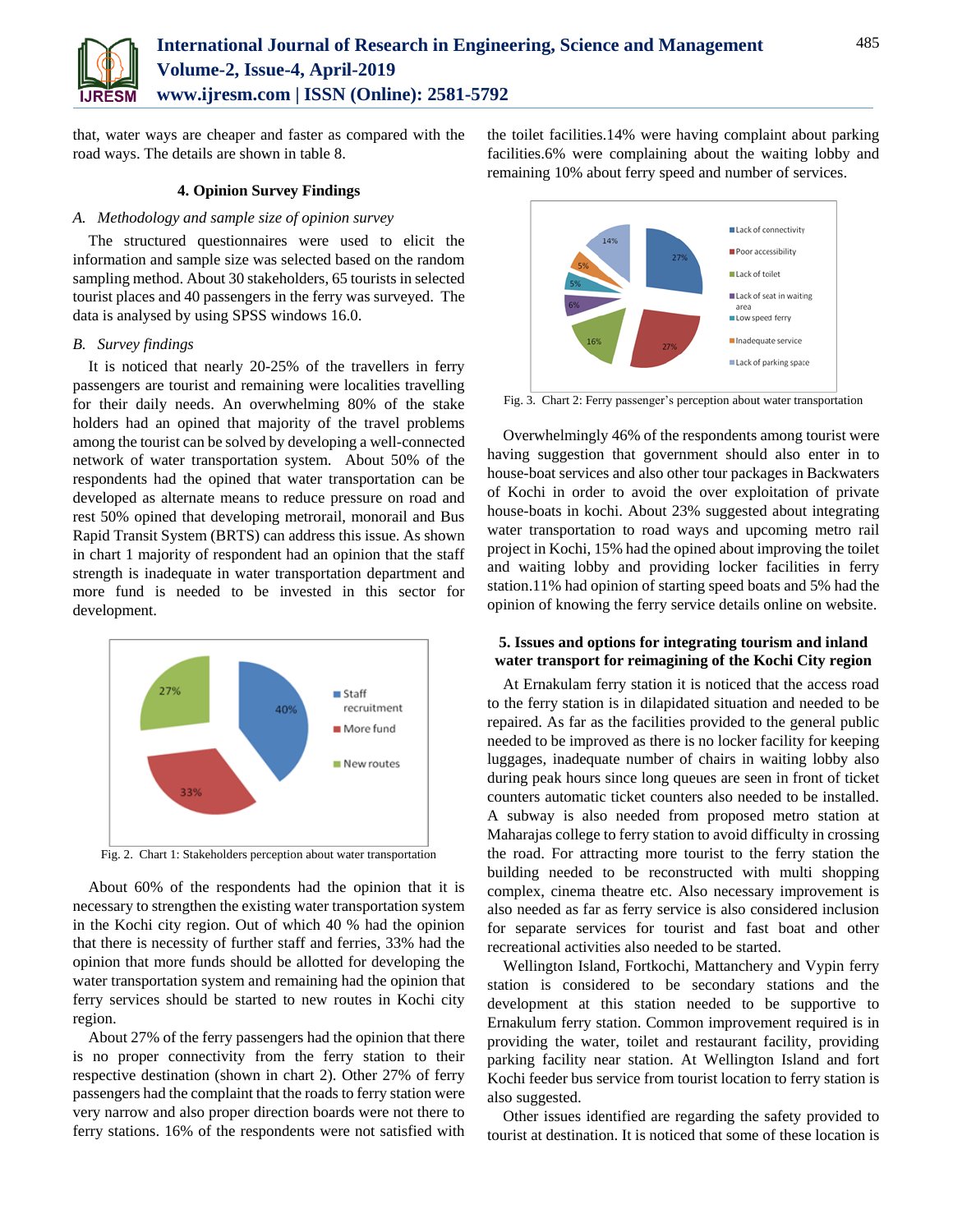

that, water ways are cheaper and faster as compared with the road ways. The details are shown in table 8.

#### **4. Opinion Survey Findings**

#### *A. Methodology and sample size of opinion survey*

The structured questionnaires were used to elicit the information and sample size was selected based on the random sampling method. About 30 stakeholders, 65 tourists in selected tourist places and 40 passengers in the ferry was surveyed. The data is analysed by using SPSS windows 16.0.

#### *B. Survey findings*

It is noticed that nearly 20-25% of the travellers in ferry passengers are tourist and remaining were localities travelling for their daily needs. An overwhelming 80% of the stake holders had an opined that majority of the travel problems among the tourist can be solved by developing a well-connected network of water transportation system. About 50% of the respondents had the opined that water transportation can be developed as alternate means to reduce pressure on road and rest 50% opined that developing metrorail, monorail and Bus Rapid Transit System (BRTS) can address this issue. As shown in chart 1 majority of respondent had an opinion that the staff strength is inadequate in water transportation department and more fund is needed to be invested in this sector for development.



Fig. 2. Chart 1: Stakeholders perception about water transportation

About 60% of the respondents had the opinion that it is necessary to strengthen the existing water transportation system in the Kochi city region. Out of which 40 % had the opinion that there is necessity of further staff and ferries, 33% had the opinion that more funds should be allotted for developing the water transportation system and remaining had the opinion that ferry services should be started to new routes in Kochi city region.

About 27% of the ferry passengers had the opinion that there is no proper connectivity from the ferry station to their respective destination (shown in chart 2). Other 27% of ferry passengers had the complaint that the roads to ferry station were very narrow and also proper direction boards were not there to ferry stations. 16% of the respondents were not satisfied with the toilet facilities.14% were having complaint about parking facilities.6% were complaining about the waiting lobby and remaining 10% about ferry speed and number of services.



Fig. 3. Chart 2: Ferry passenger's perception about water transportation

Overwhelmingly 46% of the respondents among tourist were having suggestion that government should also enter in to house-boat services and also other tour packages in Backwaters of Kochi in order to avoid the over exploitation of private house-boats in kochi. About 23% suggested about integrating water transportation to road ways and upcoming metro rail project in Kochi, 15% had the opined about improving the toilet and waiting lobby and providing locker facilities in ferry station.11% had opinion of starting speed boats and 5% had the opinion of knowing the ferry service details online on website.

#### **5. Issues and options for integrating tourism and inland water transport for reimagining of the Kochi City region**

At Ernakulam ferry station it is noticed that the access road to the ferry station is in dilapidated situation and needed to be repaired. As far as the facilities provided to the general public needed to be improved as there is no locker facility for keeping luggages, inadequate number of chairs in waiting lobby also during peak hours since long queues are seen in front of ticket counters automatic ticket counters also needed to be installed. A subway is also needed from proposed metro station at Maharajas college to ferry station to avoid difficulty in crossing the road. For attracting more tourist to the ferry station the building needed to be reconstructed with multi shopping complex, cinema theatre etc. Also necessary improvement is also needed as far as ferry service is also considered inclusion for separate services for tourist and fast boat and other recreational activities also needed to be started.

Wellington Island, Fortkochi, Mattanchery and Vypin ferry station is considered to be secondary stations and the development at this station needed to be supportive to Ernakulum ferry station. Common improvement required is in providing the water, toilet and restaurant facility, providing parking facility near station. At Wellington Island and fort Kochi feeder bus service from tourist location to ferry station is also suggested.

Other issues identified are regarding the safety provided to tourist at destination. It is noticed that some of these location is